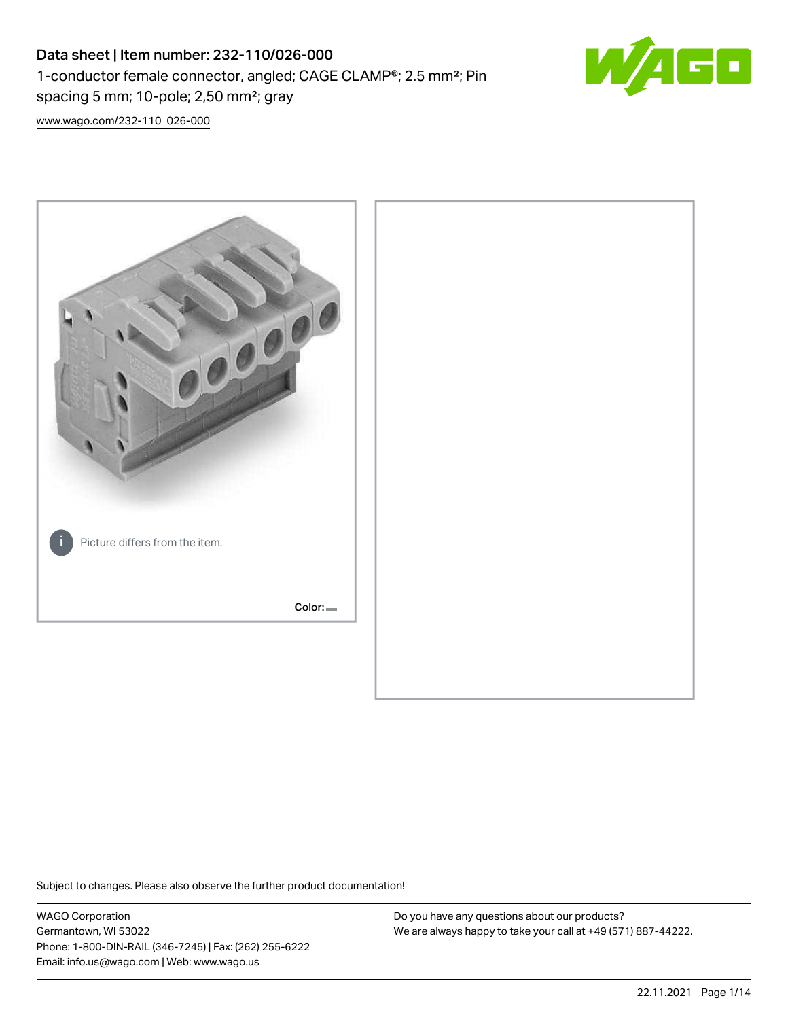# Data sheet | Item number: 232-110/026-000 1-conductor female connector, angled; CAGE CLAMP®; 2.5 mm²; Pin spacing 5 mm; 10-pole; 2,50 mm²; gray



[www.wago.com/232-110\\_026-000](http://www.wago.com/232-110_026-000)



Subject to changes. Please also observe the further product documentation!

WAGO Corporation Germantown, WI 53022 Phone: 1-800-DIN-RAIL (346-7245) | Fax: (262) 255-6222 Email: info.us@wago.com | Web: www.wago.us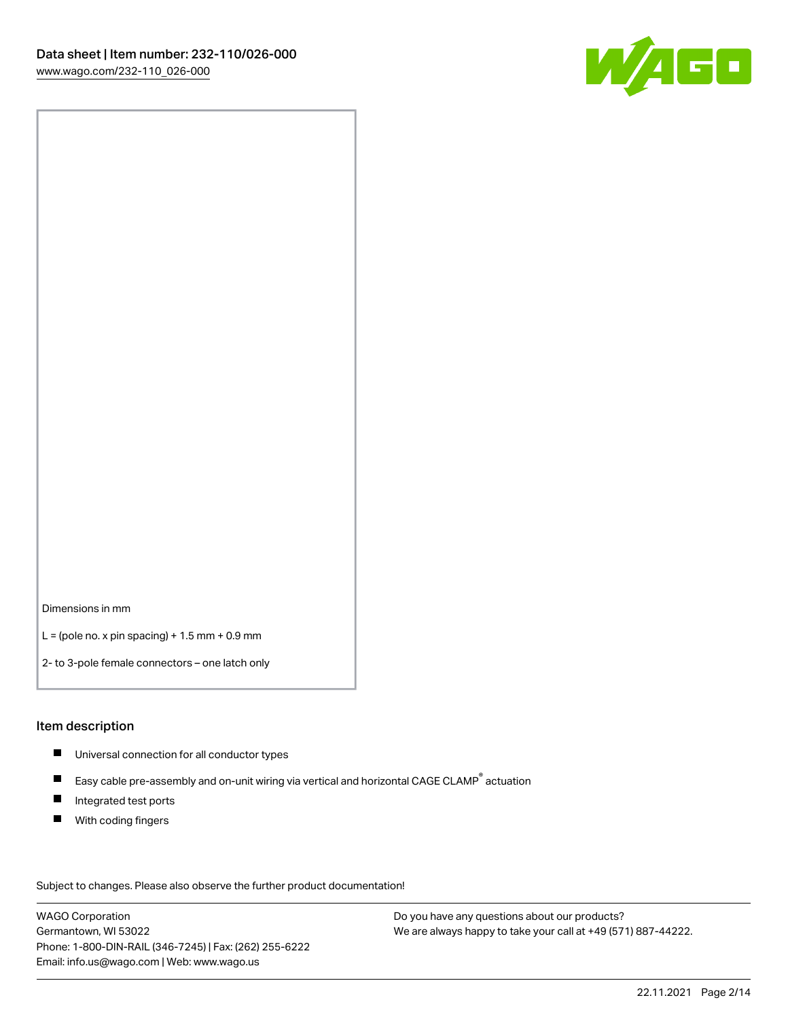

Dimensions in mm

 $L =$  (pole no. x pin spacing) + 1.5 mm + 0.9 mm

2- to 3-pole female connectors – one latch only

#### Item description

- **Universal connection for all conductor types**
- Easy cable pre-assembly and on-unit wiring via vertical and horizontal CAGE CLAMP<sup>®</sup> actuation  $\blacksquare$
- $\blacksquare$ Integrated test ports
- $\blacksquare$ With coding fingers

Subject to changes. Please also observe the further product documentation! Data

WAGO Corporation Germantown, WI 53022 Phone: 1-800-DIN-RAIL (346-7245) | Fax: (262) 255-6222 Email: info.us@wago.com | Web: www.wago.us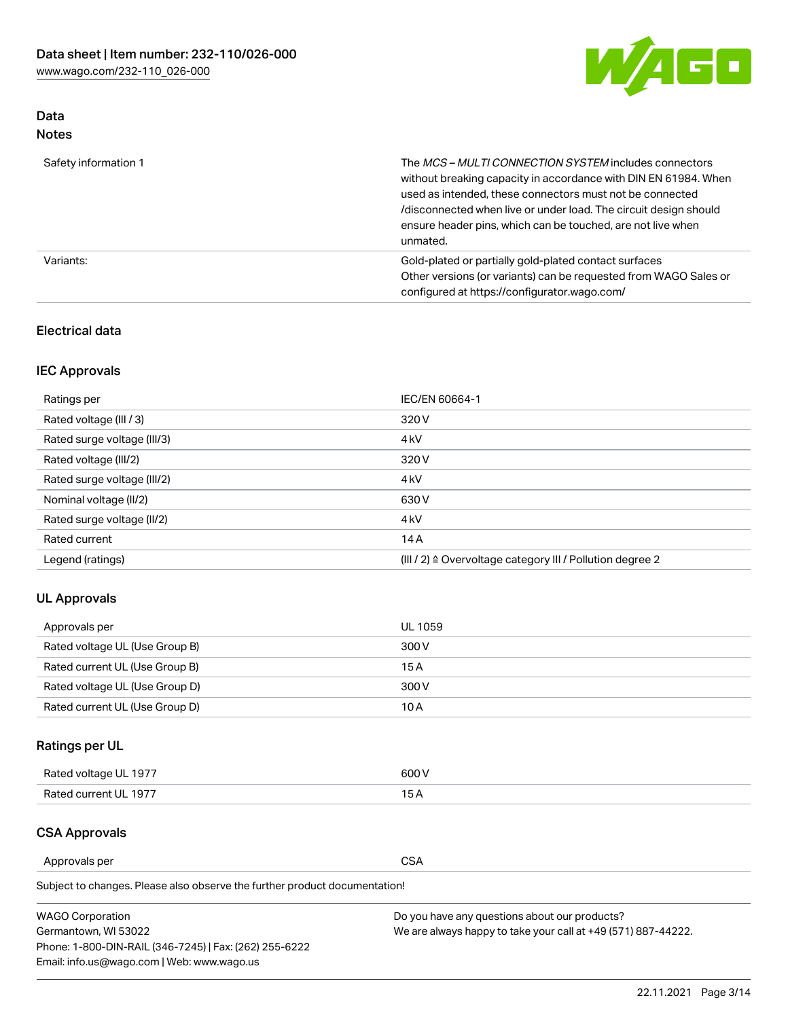

## Data Notes

| Safety information 1 | The <i>MCS – MULTI CONNECTION SYSTEM</i> includes connectors<br>without breaking capacity in accordance with DIN EN 61984. When<br>used as intended, these connectors must not be connected<br>/disconnected when live or under load. The circuit design should<br>ensure header pins, which can be touched, are not live when<br>unmated. |
|----------------------|--------------------------------------------------------------------------------------------------------------------------------------------------------------------------------------------------------------------------------------------------------------------------------------------------------------------------------------------|
| Variants:            | Gold-plated or partially gold-plated contact surfaces<br>Other versions (or variants) can be requested from WAGO Sales or<br>configured at https://configurator.wago.com/                                                                                                                                                                  |

## Electrical data

## IEC Approvals

| Ratings per                 | IEC/EN 60664-1                                                        |
|-----------------------------|-----------------------------------------------------------------------|
| Rated voltage (III / 3)     | 320 V                                                                 |
| Rated surge voltage (III/3) | 4 <sub>k</sub> V                                                      |
| Rated voltage (III/2)       | 320 V                                                                 |
| Rated surge voltage (III/2) | 4 <sub>k</sub> V                                                      |
| Nominal voltage (II/2)      | 630 V                                                                 |
| Rated surge voltage (II/2)  | 4 <sub>k</sub> V                                                      |
| Rated current               | 14A                                                                   |
| Legend (ratings)            | $(III / 2)$ $\triangle$ Overvoltage category III / Pollution degree 2 |

## UL Approvals

| Approvals per                  | UL 1059 |
|--------------------------------|---------|
| Rated voltage UL (Use Group B) | 300 V   |
| Rated current UL (Use Group B) | 15 A    |
| Rated voltage UL (Use Group D) | 300 V   |
| Rated current UL (Use Group D) | 10 A    |

## Ratings per UL

| Rated voltage UL 1977 | 300 V |
|-----------------------|-------|
| Rated current UL 1977 |       |

### CSA Approvals

Approvals per CSA

Subject to changes. Please also observe the further product documentation!

| <b>WAGO Corporation</b>                                | Do you have any questions about our products?                 |
|--------------------------------------------------------|---------------------------------------------------------------|
| Germantown, WI 53022                                   | We are always happy to take your call at +49 (571) 887-44222. |
| Phone: 1-800-DIN-RAIL (346-7245)   Fax: (262) 255-6222 |                                                               |
| Email: info.us@wago.com   Web: www.wago.us             |                                                               |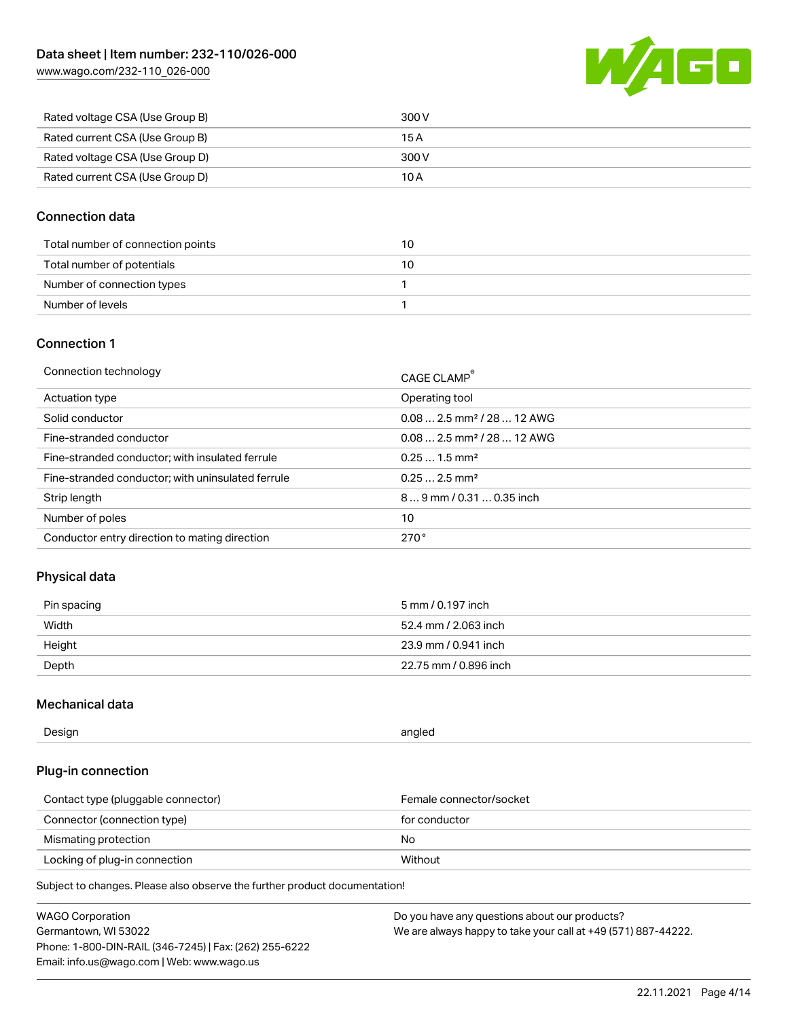[www.wago.com/232-110\\_026-000](http://www.wago.com/232-110_026-000)



| Rated voltage CSA (Use Group B) | 300 V |
|---------------------------------|-------|
| Rated current CSA (Use Group B) | 15 A  |
| Rated voltage CSA (Use Group D) | 300 V |
| Rated current CSA (Use Group D) | 10 A  |

## Connection data

| Total number of connection points | 10 |
|-----------------------------------|----|
| Total number of potentials        | 10 |
| Number of connection types        |    |
| Number of levels                  |    |

### Connection 1

| Connection technology                             | CAGE CLAMP®                             |
|---------------------------------------------------|-----------------------------------------|
| Actuation type                                    | Operating tool                          |
| Solid conductor                                   | $0.082.5$ mm <sup>2</sup> / 28  12 AWG  |
| Fine-stranded conductor                           | $0.08$ 2.5 mm <sup>2</sup> / 28  12 AWG |
| Fine-stranded conductor; with insulated ferrule   | $0.251.5$ mm <sup>2</sup>               |
| Fine-stranded conductor; with uninsulated ferrule | $0.252.5$ mm <sup>2</sup>               |
| Strip length                                      | $89$ mm $/ 0.310.35$ inch               |
| Number of poles                                   | 10                                      |
| Conductor entry direction to mating direction     | 270°                                    |

## Physical data

| Pin spacing | 5 mm / 0.197 inch     |
|-------------|-----------------------|
| Width       | 52.4 mm / 2.063 inch  |
| Height      | 23.9 mm / 0.941 inch  |
| Depth       | 22.75 mm / 0.896 inch |

## Mechanical data

| --<br>Design | angled<br>. . |
|--------------|---------------|
|              |               |

## Plug-in connection

| Contact type (pluggable connector) | Female connector/socket |
|------------------------------------|-------------------------|
| Connector (connection type)        | for conductor           |
| Mismating protection               | No                      |
| Locking of plug-in connection      | Without                 |

Subject to changes. Please also observe the further product documentation!

| <b>WAGO Corporation</b>                                | Do you have any questions about our products?                 |
|--------------------------------------------------------|---------------------------------------------------------------|
| Germantown, WI 53022                                   | We are always happy to take your call at +49 (571) 887-44222. |
| Phone: 1-800-DIN-RAIL (346-7245)   Fax: (262) 255-6222 |                                                               |
| Email: info.us@wago.com   Web: www.wago.us             |                                                               |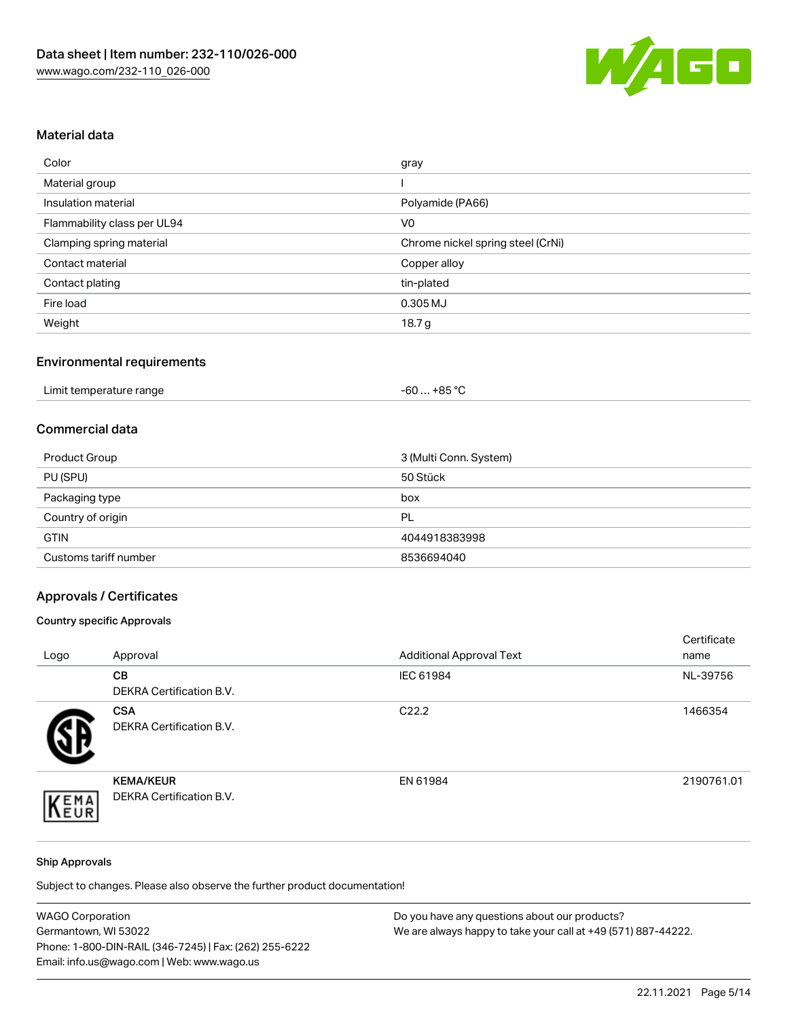

## Material data

| Color                       | gray                              |
|-----------------------------|-----------------------------------|
| Material group              |                                   |
| Insulation material         | Polyamide (PA66)                  |
| Flammability class per UL94 | V <sub>0</sub>                    |
| Clamping spring material    | Chrome nickel spring steel (CrNi) |
| Contact material            | Copper alloy                      |
| Contact plating             | tin-plated                        |
| Fire load                   | 0.305 MJ                          |
| Weight                      | 18.7 g                            |

## Environmental requirements

| Limit temperature range<br>.<br>and the contract of the contract of the contract of the contract of the contract of the contract of the contract of the contract of the contract of the contract of the contract of the contract of the contract of the contra | …+85 ° <sup>∩</sup><br>-60 |
|----------------------------------------------------------------------------------------------------------------------------------------------------------------------------------------------------------------------------------------------------------------|----------------------------|
|----------------------------------------------------------------------------------------------------------------------------------------------------------------------------------------------------------------------------------------------------------------|----------------------------|

### Commercial data

| Product Group         | 3 (Multi Conn. System) |
|-----------------------|------------------------|
| PU (SPU)              | 50 Stück               |
| Packaging type        | box                    |
| Country of origin     | PL                     |
| <b>GTIN</b>           | 4044918383998          |
| Customs tariff number | 8536694040             |

## Approvals / Certificates

### Country specific Approvals

| Logo | Approval                                            | <b>Additional Approval Text</b> | Certificate<br>name |
|------|-----------------------------------------------------|---------------------------------|---------------------|
|      | <b>CB</b><br><b>DEKRA Certification B.V.</b>        | IEC 61984                       | NL-39756            |
|      | <b>CSA</b><br>DEKRA Certification B.V.              | C <sub>22.2</sub>               | 1466354             |
| EMA  | <b>KEMA/KEUR</b><br><b>DEKRA Certification B.V.</b> | EN 61984                        | 2190761.01          |

#### Ship Approvals

Subject to changes. Please also observe the further product documentation!

| <b>WAGO Corporation</b>                                | Do you have any questions about our products?                 |
|--------------------------------------------------------|---------------------------------------------------------------|
| Germantown, WI 53022                                   | We are always happy to take your call at +49 (571) 887-44222. |
| Phone: 1-800-DIN-RAIL (346-7245)   Fax: (262) 255-6222 |                                                               |
| Email: info.us@wago.com   Web: www.wago.us             |                                                               |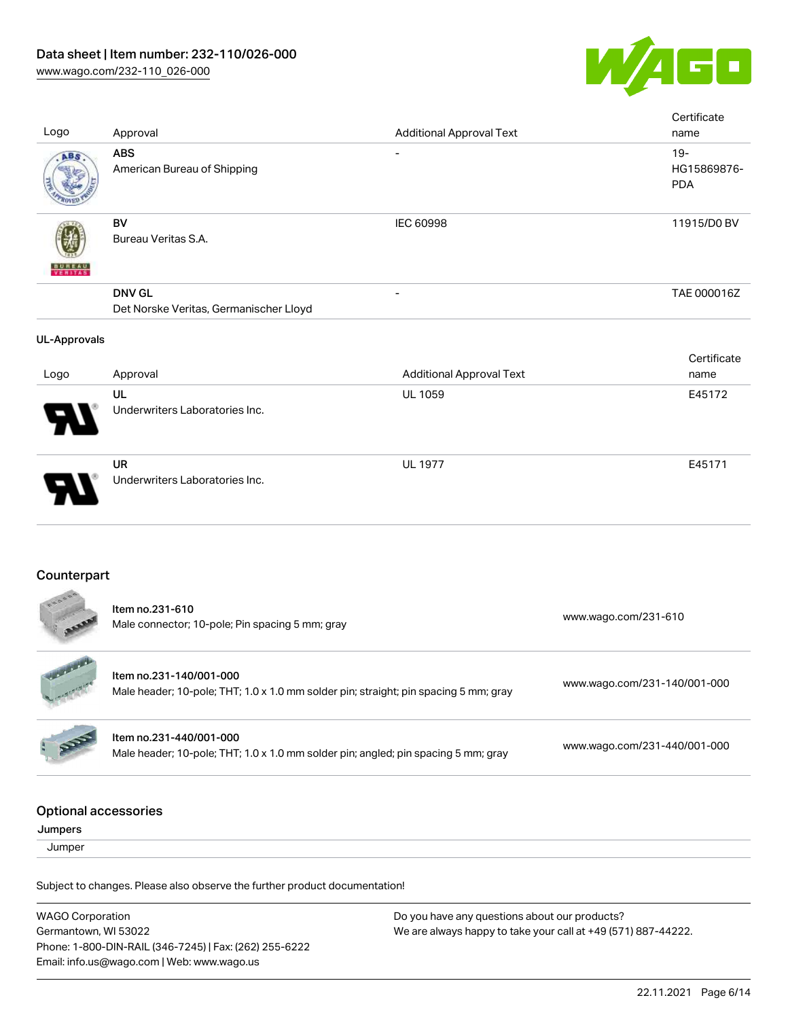

| Logo                                   | Approval                                                                                                        | <b>Additional Approval Text</b> | Certificate<br>name                 |
|----------------------------------------|-----------------------------------------------------------------------------------------------------------------|---------------------------------|-------------------------------------|
| ABS                                    | <b>ABS</b><br>American Bureau of Shipping                                                                       |                                 | $19 -$<br>HG15869876-<br><b>PDA</b> |
|                                        | <b>BV</b><br>Bureau Veritas S.A.                                                                                | IEC 60998                       | 11915/D0 BV                         |
|                                        | <b>DNV GL</b><br>Det Norske Veritas, Germanischer Lloyd                                                         |                                 | TAE 000016Z                         |
| <b>UL-Approvals</b>                    |                                                                                                                 |                                 |                                     |
| Logo                                   | Approval                                                                                                        | <b>Additional Approval Text</b> | Certificate<br>name                 |
|                                        | UL<br>Underwriters Laboratories Inc.                                                                            | UL 1059                         | E45172                              |
|                                        | <b>UR</b><br>Underwriters Laboratories Inc.                                                                     | <b>UL 1977</b>                  | E45171                              |
| Counterpart                            |                                                                                                                 |                                 |                                     |
|                                        | Item no.231-610<br>Male connector; 10-pole; Pin spacing 5 mm; gray                                              |                                 | www.wago.com/231-610                |
|                                        | Item no.231-140/001-000<br>Male header; 10-pole; THT; 1.0 x 1.0 mm solder pin; straight; pin spacing 5 mm; gray |                                 | www.wago.com/231-140/001-000        |
|                                        | Item no.231-440/001-000<br>Male header; 10-pole; THT; 1.0 x 1.0 mm solder pin; angled; pin spacing 5 mm; gray   |                                 | www.wago.com/231-440/001-000        |
| <b>Optional accessories</b><br>Jumpers |                                                                                                                 |                                 |                                     |
| Jumper                                 |                                                                                                                 |                                 |                                     |
|                                        | Subject to changes. Please also observe the further product documentation!                                      |                                 |                                     |

WAGO Corporation Germantown, WI 53022 Phone: 1-800-DIN-RAIL (346-7245) | Fax: (262) 255-6222 Email: info.us@wago.com | Web: www.wago.us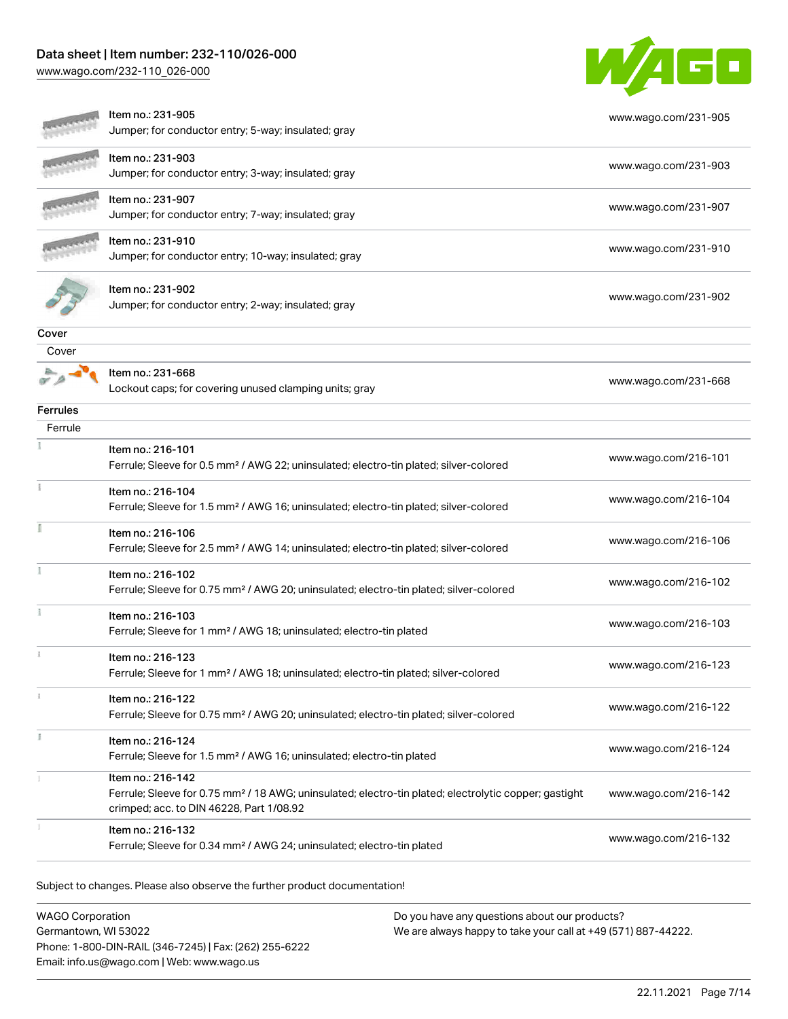## Data sheet | Item number: 232-110/026-000

[www.wago.com/232-110\\_026-000](http://www.wago.com/232-110_026-000)



|                 | Item no.: 231-905<br>Jumper; for conductor entry; 5-way; insulated; gray                                                                                                           | www.wago.com/231-905 |
|-----------------|------------------------------------------------------------------------------------------------------------------------------------------------------------------------------------|----------------------|
|                 | Item no.: 231-903<br>Jumper; for conductor entry; 3-way; insulated; gray                                                                                                           | www.wago.com/231-903 |
|                 | Item no.: 231-907<br>Jumper; for conductor entry; 7-way; insulated; gray                                                                                                           | www.wago.com/231-907 |
|                 | Item no.: 231-910<br>Jumper; for conductor entry; 10-way; insulated; gray                                                                                                          | www.wago.com/231-910 |
|                 | Item no.: 231-902<br>Jumper; for conductor entry; 2-way; insulated; gray                                                                                                           | www.wago.com/231-902 |
| Cover           |                                                                                                                                                                                    |                      |
| Cover           | Item no.: 231-668<br>Lockout caps; for covering unused clamping units; gray                                                                                                        | www.wago.com/231-668 |
| <b>Ferrules</b> |                                                                                                                                                                                    |                      |
| Ferrule         |                                                                                                                                                                                    |                      |
|                 | Item no.: 216-101<br>Ferrule; Sleeve for 0.5 mm <sup>2</sup> / AWG 22; uninsulated; electro-tin plated; silver-colored                                                             | www.wago.com/216-101 |
|                 | Item no.: 216-104<br>Ferrule; Sleeve for 1.5 mm <sup>2</sup> / AWG 16; uninsulated; electro-tin plated; silver-colored                                                             | www.wago.com/216-104 |
|                 | Item no.: 216-106<br>Ferrule; Sleeve for 2.5 mm <sup>2</sup> / AWG 14; uninsulated; electro-tin plated; silver-colored                                                             | www.wago.com/216-106 |
|                 | Item no.: 216-102<br>Ferrule; Sleeve for 0.75 mm <sup>2</sup> / AWG 20; uninsulated; electro-tin plated; silver-colored                                                            | www.wago.com/216-102 |
|                 | Item no.: 216-103<br>Ferrule; Sleeve for 1 mm <sup>2</sup> / AWG 18; uninsulated; electro-tin plated                                                                               | www.wago.com/216-103 |
|                 | Item no.: 216-123<br>Ferrule; Sleeve for 1 mm <sup>2</sup> / AWG 18; uninsulated; electro-tin plated; silver-colored                                                               | www.wago.com/216-123 |
|                 | Item no.: 216-122<br>Ferrule; Sleeve for 0.75 mm <sup>2</sup> / AWG 20; uninsulated; electro-tin plated; silver-colored                                                            | www.wago.com/216-122 |
|                 | Item no.: 216-124<br>Ferrule; Sleeve for 1.5 mm <sup>2</sup> / AWG 16; uninsulated; electro-tin plated                                                                             | www.wago.com/216-124 |
|                 | Item no.: 216-142<br>Ferrule; Sleeve for 0.75 mm <sup>2</sup> / 18 AWG; uninsulated; electro-tin plated; electrolytic copper; gastight<br>crimped; acc. to DIN 46228, Part 1/08.92 | www.wago.com/216-142 |
|                 | Item no.: 216-132<br>Ferrule; Sleeve for 0.34 mm <sup>2</sup> / AWG 24; uninsulated; electro-tin plated                                                                            | www.wago.com/216-132 |

Subject to changes. Please also observe the further product documentation!

WAGO Corporation Germantown, WI 53022 Phone: 1-800-DIN-RAIL (346-7245) | Fax: (262) 255-6222 Email: info.us@wago.com | Web: www.wago.us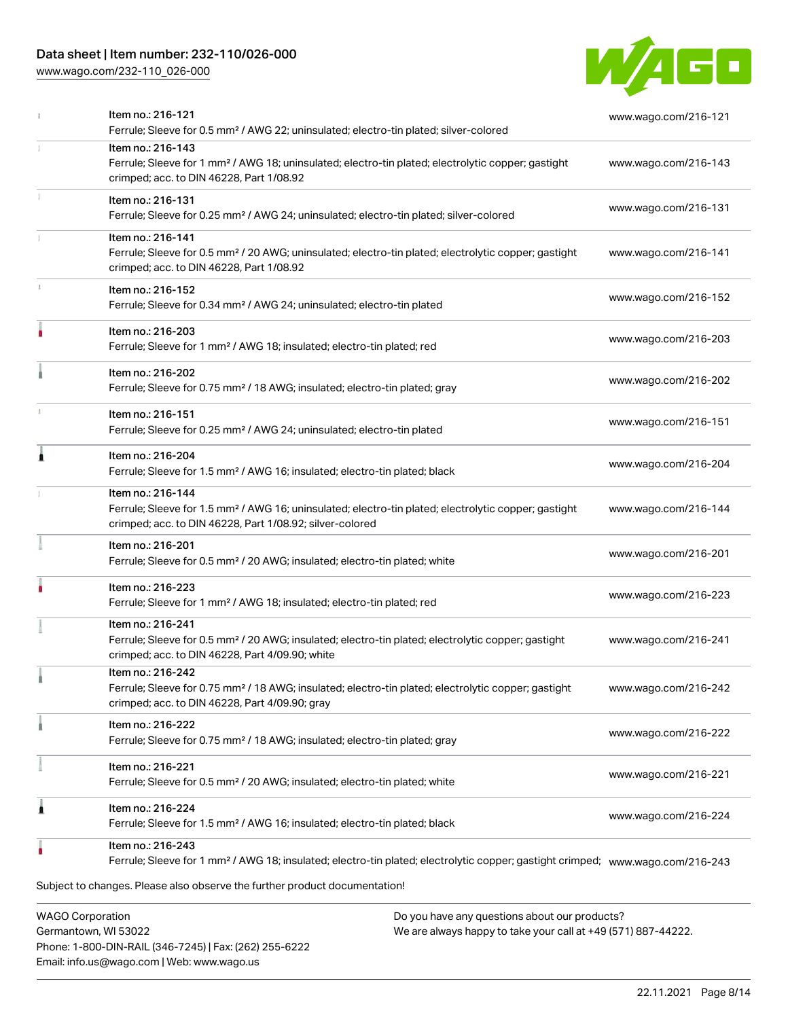## Data sheet | Item number: 232-110/026-000

[www.wago.com/232-110\\_026-000](http://www.wago.com/232-110_026-000)



| <b>WAGO Corporation</b><br>Do you have any questions about our products?                                                                                                                          |                      |
|---------------------------------------------------------------------------------------------------------------------------------------------------------------------------------------------------|----------------------|
| Subject to changes. Please also observe the further product documentation!                                                                                                                        |                      |
| Item no.: 216-243<br>Ferrule; Sleeve for 1 mm <sup>2</sup> / AWG 18; insulated; electro-tin plated; electrolytic copper; gastight crimped; www.waqo.com/216-243                                   |                      |
| Item no.: 216-224<br>Ferrule; Sleeve for 1.5 mm <sup>2</sup> / AWG 16; insulated; electro-tin plated; black                                                                                       | www.wago.com/216-224 |
| Item no.: 216-221<br>Ferrule; Sleeve for 0.5 mm <sup>2</sup> / 20 AWG; insulated; electro-tin plated; white                                                                                       | www.wago.com/216-221 |
| Item no.: 216-222<br>Ferrule; Sleeve for 0.75 mm <sup>2</sup> / 18 AWG; insulated; electro-tin plated; gray                                                                                       | www.wago.com/216-222 |
| Item no.: 216-242<br>Ferrule; Sleeve for 0.75 mm <sup>2</sup> / 18 AWG; insulated; electro-tin plated; electrolytic copper; gastight<br>crimped; acc. to DIN 46228, Part 4/09.90; gray            | www.wago.com/216-242 |
| Item no.: 216-241<br>Ferrule; Sleeve for 0.5 mm <sup>2</sup> / 20 AWG; insulated; electro-tin plated; electrolytic copper; gastight<br>crimped; acc. to DIN 46228, Part 4/09.90; white            | www.wago.com/216-241 |
| Item no.: 216-223<br>Ferrule; Sleeve for 1 mm <sup>2</sup> / AWG 18; insulated; electro-tin plated; red                                                                                           | www.wago.com/216-223 |
| Item no.: 216-201<br>Ferrule; Sleeve for 0.5 mm <sup>2</sup> / 20 AWG; insulated; electro-tin plated; white                                                                                       | www.wago.com/216-201 |
| Item no.: 216-144<br>Ferrule; Sleeve for 1.5 mm <sup>2</sup> / AWG 16; uninsulated; electro-tin plated; electrolytic copper; gastight<br>crimped; acc. to DIN 46228, Part 1/08.92; silver-colored | www.wago.com/216-144 |
| Item no.: 216-204<br>Ferrule; Sleeve for 1.5 mm <sup>2</sup> / AWG 16; insulated; electro-tin plated; black                                                                                       | www.wago.com/216-204 |
| Item no.: 216-151<br>Ferrule; Sleeve for 0.25 mm <sup>2</sup> / AWG 24; uninsulated; electro-tin plated                                                                                           | www.wago.com/216-151 |
| Item no.: 216-202<br>Ferrule; Sleeve for 0.75 mm <sup>2</sup> / 18 AWG; insulated; electro-tin plated; gray                                                                                       | www.wago.com/216-202 |
| Item no.: 216-203<br>Ferrule; Sleeve for 1 mm <sup>2</sup> / AWG 18; insulated; electro-tin plated; red                                                                                           | www.wago.com/216-203 |
| Item no.: 216-152<br>Ferrule; Sleeve for 0.34 mm <sup>2</sup> / AWG 24; uninsulated; electro-tin plated                                                                                           | www.wago.com/216-152 |
| Item no.: 216-141<br>Ferrule; Sleeve for 0.5 mm <sup>2</sup> / 20 AWG; uninsulated; electro-tin plated; electrolytic copper; gastight<br>crimped; acc. to DIN 46228, Part 1/08.92                 | www.wago.com/216-141 |
| Item no.: 216-131<br>Ferrule; Sleeve for 0.25 mm <sup>2</sup> / AWG 24; uninsulated; electro-tin plated; silver-colored                                                                           | www.wago.com/216-131 |
| Item no.: 216-143<br>Ferrule; Sleeve for 1 mm <sup>2</sup> / AWG 18; uninsulated; electro-tin plated; electrolytic copper; gastight<br>crimped; acc. to DIN 46228, Part 1/08.92                   | www.wago.com/216-143 |
| Item no.: 216-121<br>Ferrule; Sleeve for 0.5 mm <sup>2</sup> / AWG 22; uninsulated; electro-tin plated; silver-colored                                                                            | www.wago.com/216-121 |

Germantown, WI 53022 Phone: 1-800-DIN-RAIL (346-7245) | Fax: (262) 255-6222 Email: info.us@wago.com | Web: www.wago.us

We are always happy to take your call at +49 (571) 887-44222.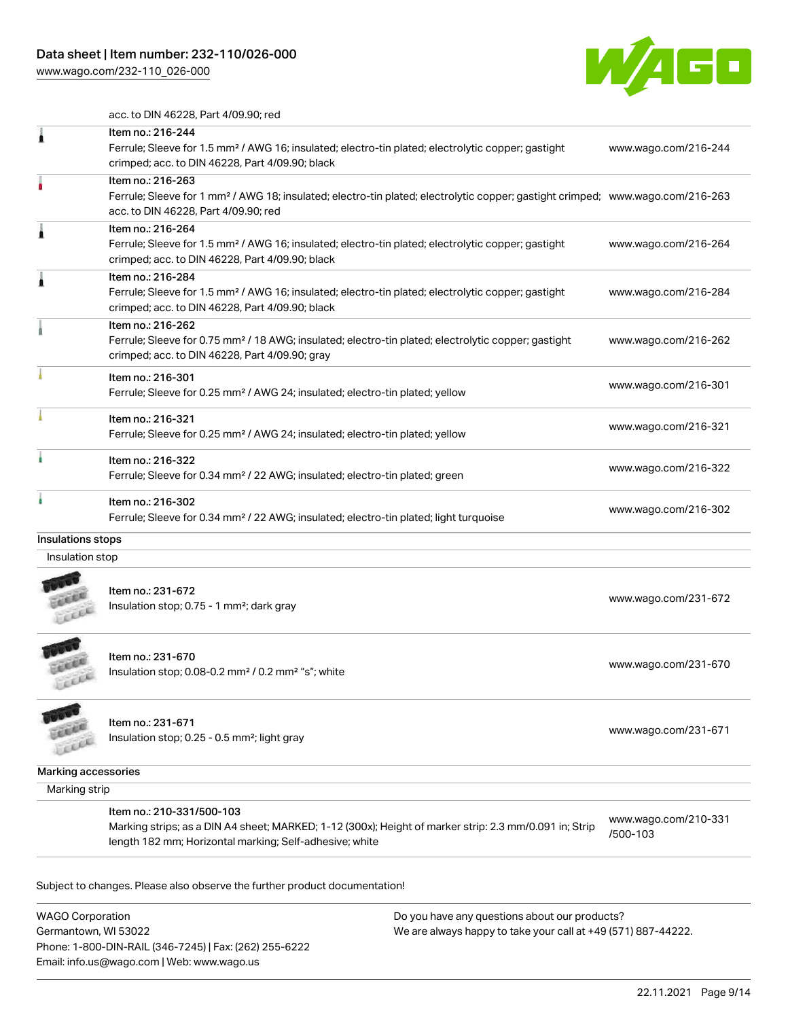[www.wago.com/232-110\\_026-000](http://www.wago.com/232-110_026-000)



acc. to DIN 46228, Part 4/09.90; red

|                   | Item no.: 216-244<br>Ferrule; Sleeve for 1.5 mm <sup>2</sup> / AWG 16; insulated; electro-tin plated; electrolytic copper; gastight<br>crimped; acc. to DIN 46228, Part 4/09.90; black                  | www.wago.com/216-244 |
|-------------------|---------------------------------------------------------------------------------------------------------------------------------------------------------------------------------------------------------|----------------------|
|                   | Item no.: 216-263<br>Ferrule; Sleeve for 1 mm <sup>2</sup> / AWG 18; insulated; electro-tin plated; electrolytic copper; gastight crimped; www.wago.com/216-263<br>acc. to DIN 46228, Part 4/09.90; red |                      |
|                   | Item no.: 216-264<br>Ferrule; Sleeve for 1.5 mm <sup>2</sup> / AWG 16; insulated; electro-tin plated; electrolytic copper; gastight<br>crimped; acc. to DIN 46228, Part 4/09.90; black                  | www.wago.com/216-264 |
|                   | Item no.: 216-284<br>Ferrule; Sleeve for 1.5 mm <sup>2</sup> / AWG 16; insulated; electro-tin plated; electrolytic copper; gastight<br>crimped; acc. to DIN 46228, Part 4/09.90; black                  | www.wago.com/216-284 |
|                   | Item no.: 216-262<br>Ferrule; Sleeve for 0.75 mm <sup>2</sup> / 18 AWG; insulated; electro-tin plated; electrolytic copper; gastight<br>crimped; acc. to DIN 46228, Part 4/09.90; gray                  | www.wago.com/216-262 |
|                   | Item no.: 216-301<br>Ferrule; Sleeve for 0.25 mm <sup>2</sup> / AWG 24; insulated; electro-tin plated; yellow                                                                                           | www.wago.com/216-301 |
|                   | Item no.: 216-321<br>Ferrule; Sleeve for 0.25 mm <sup>2</sup> / AWG 24; insulated; electro-tin plated; yellow                                                                                           | www.wago.com/216-321 |
|                   | Item no.: 216-322<br>Ferrule; Sleeve for 0.34 mm <sup>2</sup> / 22 AWG; insulated; electro-tin plated; green                                                                                            | www.wago.com/216-322 |
|                   | Item no.: 216-302<br>Ferrule; Sleeve for 0.34 mm <sup>2</sup> / 22 AWG; insulated; electro-tin plated; light turquoise                                                                                  | www.wago.com/216-302 |
| Insulations stops |                                                                                                                                                                                                         |                      |
| Insulation stop   |                                                                                                                                                                                                         |                      |
|                   | Item no.: 231-672<br>Insulation stop; 0.75 - 1 mm <sup>2</sup> ; dark gray                                                                                                                              | www.wago.com/231-672 |
|                   | Item no.: 231-670<br>Insulation stop; 0.08-0.2 mm <sup>2</sup> / 0.2 mm <sup>2</sup> "s"; white                                                                                                         | www.wago.com/231-670 |
|                   | Item no.: 231-671<br>$\ln$ sulation ston: 0.25 - 0.5 mm <sup>2</sup> ; light grav                                                                                                                       | www.wago.com/231-671 |

Item no.: 231-671 Item 110... 251-071<br>Insulation stop; 0.25 - 0.5 mm²; light gray [www.wago.com/231-671](http://www.wago.com/231-671)

Marking accessories

Marking strip

LEEEE

Item no.: 210-331/500-103

Marking strips; as a DIN A4 sheet; MARKED; 1-12 (300x); Height of marker strip: 2.3 mm/0.091 in; Strip length 182 mm; Horizontal marking; Self-adhesive; white

[www.wago.com/210-331](http://www.wago.com/210-331/500-103) [/500-103](http://www.wago.com/210-331/500-103)

Subject to changes. Please also observe the further product documentation!

WAGO Corporation Germantown, WI 53022 Phone: 1-800-DIN-RAIL (346-7245) | Fax: (262) 255-6222 Email: info.us@wago.com | Web: www.wago.us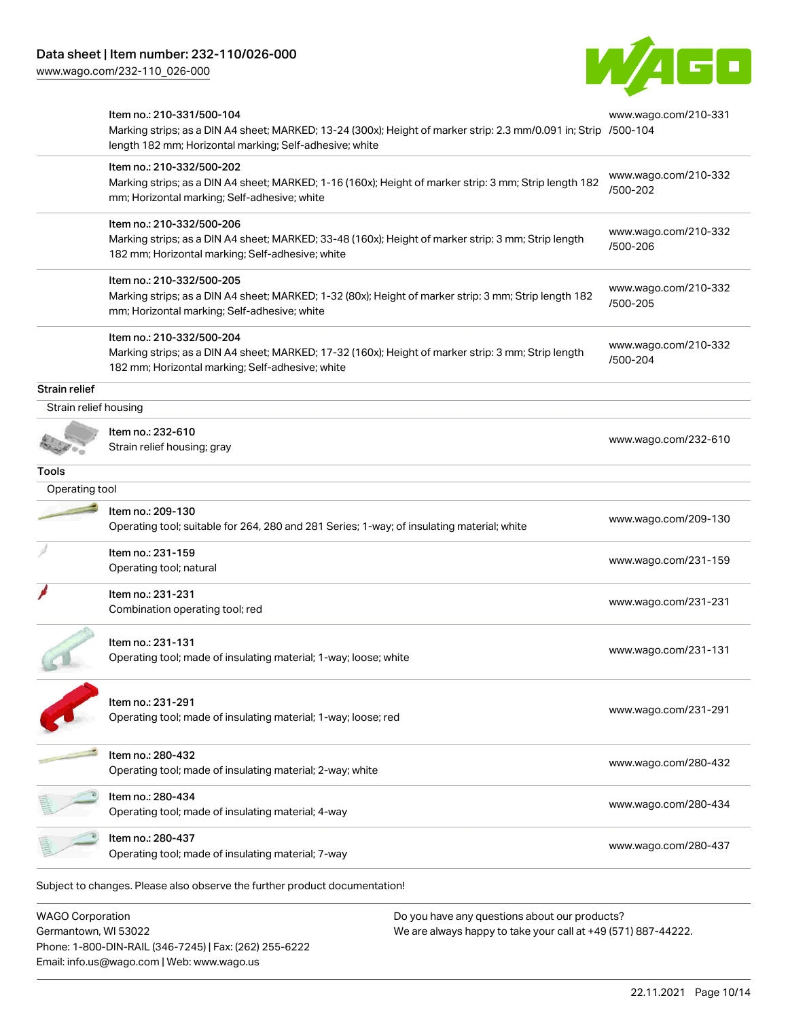[www.wago.com/232-110\\_026-000](http://www.wago.com/232-110_026-000)



| Item no.: 231-231<br>Combination operating tool; red<br>Item no.: 231-131<br>Operating tool; made of insulating material; 1-way; loose; white<br>Item no.: 231-291<br>Operating tool; made of insulating material; 1-way; loose; red<br>Item no.: 280-432<br>Operating tool; made of insulating material; 2-way; white<br>Item no.: 280-434<br>Operating tool; made of insulating material; 4-way<br>Item no.: 280-437<br>Operating tool; made of insulating material; 7-way<br>Subject to changes. Please also observe the further product documentation! | www.wago.com/231-231<br>www.wago.com/231-131<br>www.wago.com/231-291<br>www.wago.com/280-432<br>www.wago.com/280-434<br>www.wago.com/280-437 |
|------------------------------------------------------------------------------------------------------------------------------------------------------------------------------------------------------------------------------------------------------------------------------------------------------------------------------------------------------------------------------------------------------------------------------------------------------------------------------------------------------------------------------------------------------------|----------------------------------------------------------------------------------------------------------------------------------------------|
|                                                                                                                                                                                                                                                                                                                                                                                                                                                                                                                                                            |                                                                                                                                              |
|                                                                                                                                                                                                                                                                                                                                                                                                                                                                                                                                                            |                                                                                                                                              |
|                                                                                                                                                                                                                                                                                                                                                                                                                                                                                                                                                            |                                                                                                                                              |
|                                                                                                                                                                                                                                                                                                                                                                                                                                                                                                                                                            |                                                                                                                                              |
|                                                                                                                                                                                                                                                                                                                                                                                                                                                                                                                                                            |                                                                                                                                              |
|                                                                                                                                                                                                                                                                                                                                                                                                                                                                                                                                                            |                                                                                                                                              |
|                                                                                                                                                                                                                                                                                                                                                                                                                                                                                                                                                            |                                                                                                                                              |
| Item no.: 231-159<br>Operating tool; natural                                                                                                                                                                                                                                                                                                                                                                                                                                                                                                               | www.wago.com/231-159                                                                                                                         |
| Item no.: 209-130<br>Operating tool; suitable for 264, 280 and 281 Series; 1-way; of insulating material; white                                                                                                                                                                                                                                                                                                                                                                                                                                            | www.wago.com/209-130                                                                                                                         |
|                                                                                                                                                                                                                                                                                                                                                                                                                                                                                                                                                            |                                                                                                                                              |
|                                                                                                                                                                                                                                                                                                                                                                                                                                                                                                                                                            |                                                                                                                                              |
| Item no.: 232-610                                                                                                                                                                                                                                                                                                                                                                                                                                                                                                                                          | www.wago.com/232-610                                                                                                                         |
|                                                                                                                                                                                                                                                                                                                                                                                                                                                                                                                                                            |                                                                                                                                              |
|                                                                                                                                                                                                                                                                                                                                                                                                                                                                                                                                                            |                                                                                                                                              |
| Item no.: 210-332/500-204<br>Marking strips; as a DIN A4 sheet; MARKED; 17-32 (160x); Height of marker strip: 3 mm; Strip length<br>182 mm; Horizontal marking; Self-adhesive; white                                                                                                                                                                                                                                                                                                                                                                       | www.wago.com/210-332<br>/500-204                                                                                                             |
| Item no.: 210-332/500-205<br>Marking strips; as a DIN A4 sheet; MARKED; 1-32 (80x); Height of marker strip: 3 mm; Strip length 182<br>mm; Horizontal marking; Self-adhesive; white                                                                                                                                                                                                                                                                                                                                                                         | www.wago.com/210-332<br>/500-205                                                                                                             |
| Item no.: 210-332/500-206<br>Marking strips; as a DIN A4 sheet; MARKED; 33-48 (160x); Height of marker strip: 3 mm; Strip length<br>182 mm; Horizontal marking; Self-adhesive; white                                                                                                                                                                                                                                                                                                                                                                       | www.wago.com/210-332<br>/500-206                                                                                                             |
| Item no.: 210-332/500-202<br>Marking strips; as a DIN A4 sheet; MARKED; 1-16 (160x); Height of marker strip: 3 mm; Strip length 182<br>mm; Horizontal marking; Self-adhesive; white                                                                                                                                                                                                                                                                                                                                                                        | www.wago.com/210-332<br>/500-202                                                                                                             |
| Item no.: 210-331/500-104<br>Marking strips; as a DIN A4 sheet; MARKED; 13-24 (300x); Height of marker strip: 2.3 mm/0.091 in; Strip /500-104<br>length 182 mm; Horizontal marking; Self-adhesive; white                                                                                                                                                                                                                                                                                                                                                   | www.wago.com/210-331                                                                                                                         |
|                                                                                                                                                                                                                                                                                                                                                                                                                                                                                                                                                            | Strain relief housing<br>Strain relief housing; gray<br>Operating tool                                                                       |

Germantown, WI 53022 Phone: 1-800-DIN-RAIL (346-7245) | Fax: (262) 255-6222 Email: info.us@wago.com | Web: www.wago.us

We are always happy to take your call at +49 (571) 887-44222.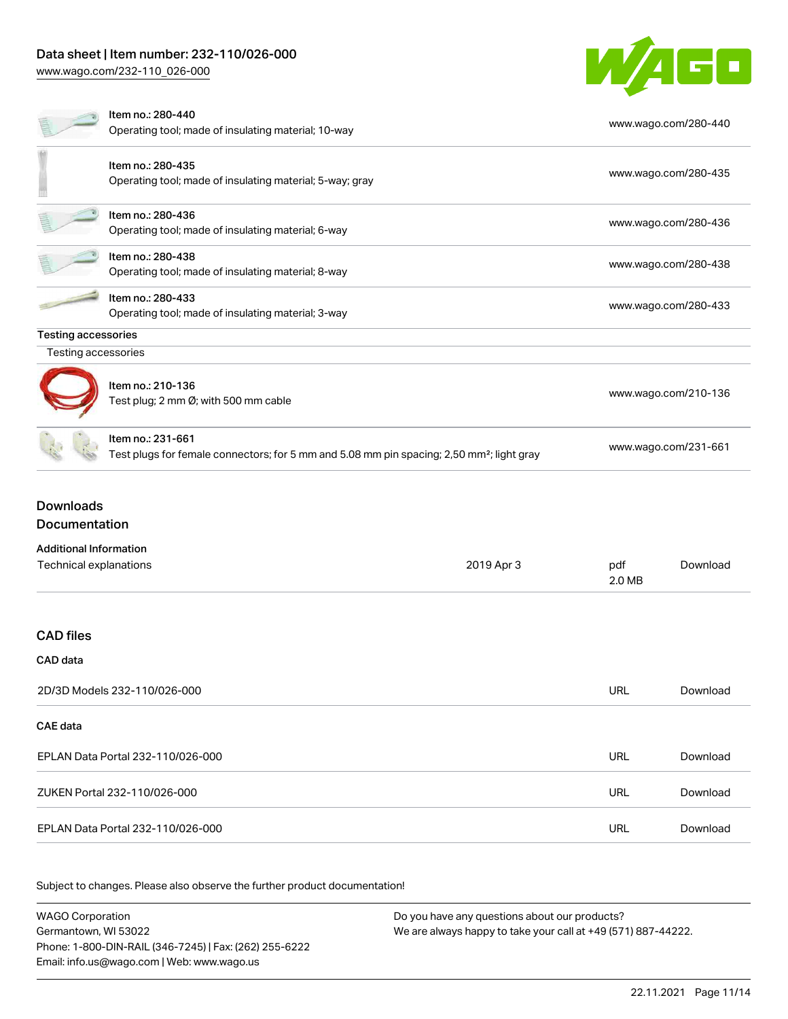# Data sheet | Item number: 232-110/026-000

[www.wago.com/232-110\\_026-000](http://www.wago.com/232-110_026-000)



|                                                         | Item no.: 280-440<br>Operating tool; made of insulating material; 10-way                                                   |            |               | www.wago.com/280-440 |
|---------------------------------------------------------|----------------------------------------------------------------------------------------------------------------------------|------------|---------------|----------------------|
|                                                         | Item no.: 280-435<br>Operating tool; made of insulating material; 5-way; gray                                              |            |               | www.wago.com/280-435 |
|                                                         | Item no.: 280-436<br>Operating tool; made of insulating material; 6-way                                                    |            |               | www.wago.com/280-436 |
|                                                         | Item no.: 280-438<br>Operating tool; made of insulating material; 8-way                                                    |            |               | www.wago.com/280-438 |
|                                                         | Item no.: 280-433<br>Operating tool; made of insulating material; 3-way                                                    |            |               | www.wago.com/280-433 |
| <b>Testing accessories</b><br>Testing accessories       |                                                                                                                            |            |               |                      |
|                                                         | Item no.: 210-136<br>Test plug; 2 mm Ø; with 500 mm cable                                                                  |            |               | www.wago.com/210-136 |
|                                                         | Item no.: 231-661<br>Test plugs for female connectors; for 5 mm and 5.08 mm pin spacing; 2,50 mm <sup>2</sup> ; light gray |            |               | www.wago.com/231-661 |
| <b>Downloads</b><br>Documentation                       |                                                                                                                            |            |               |                      |
| <b>Additional Information</b><br>Technical explanations |                                                                                                                            | 2019 Apr 3 | pdf<br>2.0 MB | Download             |
| <b>CAD</b> files                                        |                                                                                                                            |            |               |                      |
| <b>CAD</b> data                                         |                                                                                                                            |            |               |                      |
|                                                         | 2D/3D Models 232-110/026-000                                                                                               |            | <b>URL</b>    | Download             |
| CAE data                                                |                                                                                                                            |            |               |                      |
|                                                         | EPLAN Data Portal 232-110/026-000                                                                                          |            | <b>URL</b>    | Download             |
|                                                         | ZUKEN Portal 232-110/026-000                                                                                               |            | <b>URL</b>    | Download             |
|                                                         | EPLAN Data Portal 232-110/026-000                                                                                          |            | <b>URL</b>    | Download             |

Subject to changes. Please also observe the further product documentation!

WAGO Corporation Germantown, WI 53022 Phone: 1-800-DIN-RAIL (346-7245) | Fax: (262) 255-6222 Email: info.us@wago.com | Web: www.wago.us Do you have any questions about our products? We are always happy to take your call at +49 (571) 887-44222.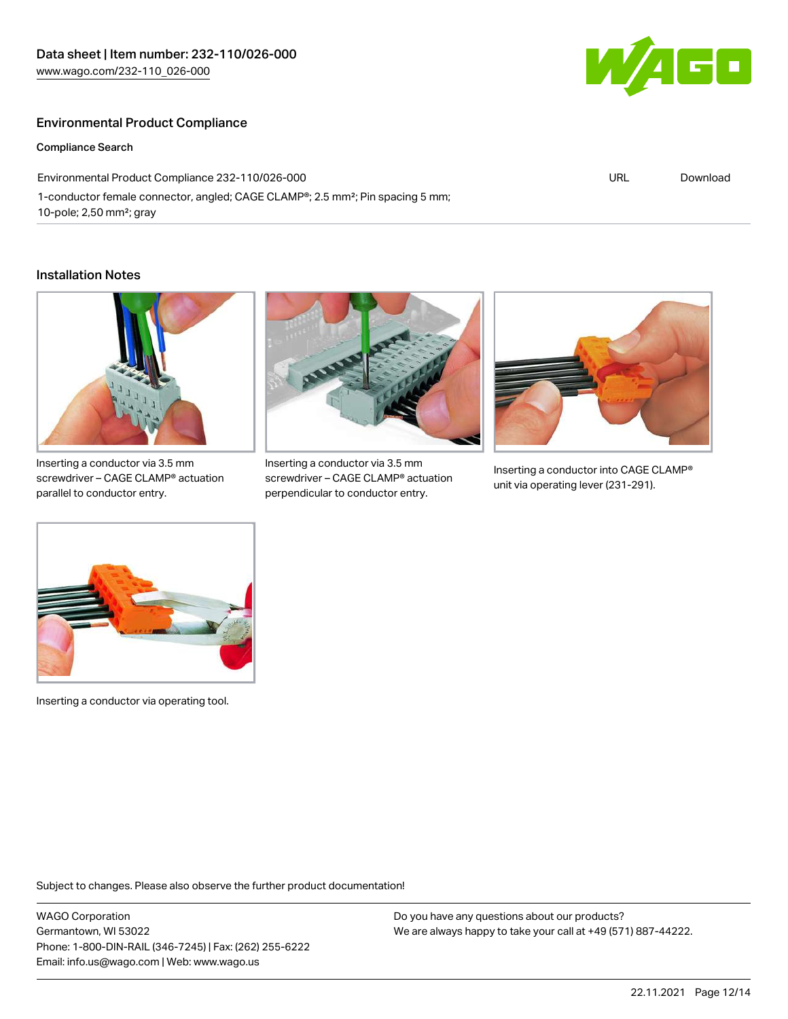## Environmental Product Compliance

#### Compliance Search

Environmental Product Compliance 232-110/026-000 1-conductor female connector, angled; CAGE CLAMP®; 2.5 mm²; Pin spacing 5 mm; 10-pole; 2,50 mm²; gray

#### Installation Notes



Inserting a conductor via 3.5 mm screwdriver – CAGE CLAMP® actuation parallel to conductor entry.



Inserting a conductor via 3.5 mm screwdriver – CAGE CLAMP® actuation perpendicular to conductor entry.



URL [Download](https://www.wago.com/global/d/ComplianceLinkMediaContainer_232-110_026-000)

Inserting a conductor into CAGE CLAMP® unit via operating lever (231-291).



Inserting a conductor via operating tool.

Subject to changes. Please also observe the further product documentation!

WAGO Corporation Germantown, WI 53022 Phone: 1-800-DIN-RAIL (346-7245) | Fax: (262) 255-6222 Email: info.us@wago.com | Web: www.wago.us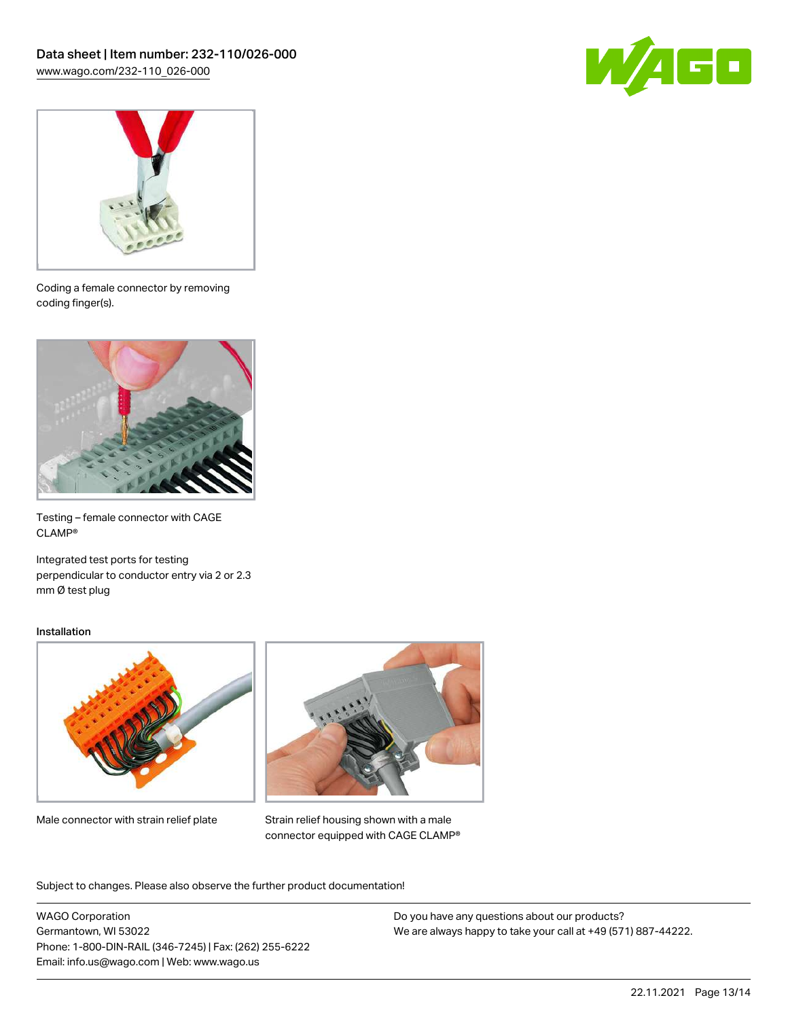



Coding a female connector by removing coding finger(s).



Testing – female connector with CAGE CLAMP®

Integrated test ports for testing perpendicular to conductor entry via 2 or 2.3 mm Ø test plug

#### Installation



Male connector with strain relief plate



Strain relief housing shown with a male connector equipped with CAGE CLAMP®

Subject to changes. Please also observe the further product documentation!

WAGO Corporation Germantown, WI 53022 Phone: 1-800-DIN-RAIL (346-7245) | Fax: (262) 255-6222 Email: info.us@wago.com | Web: www.wago.us